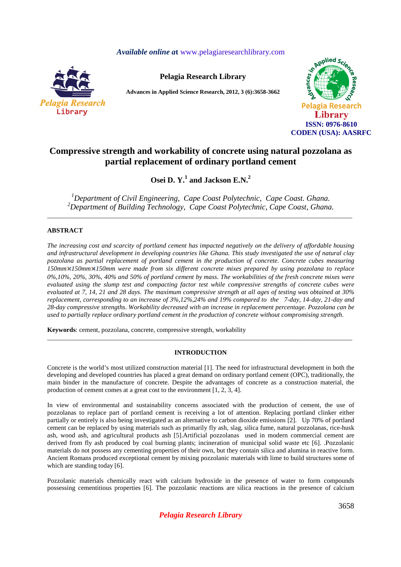## *Available online a***t** www.pelagiaresearchlibrary.com



**Pelagia Research Library** 

**Advances in Applied Science Research, 2012, 3 (6):3658-3662** 



# **Compressive strength and workability of concrete using natural pozzolana as partial replacement of ordinary portland cement**

**Osei D. Y.<sup>1</sup> and Jackson E.N.<sup>2</sup>** 

*<sup>1</sup>Department of Civil Engineering, Cape Coast Polytechnic, Cape Coast. Ghana. <sup>2</sup>Department of Building Technology, Cape Coast Polytechnic, Cape Coast, Ghana.*  \_\_\_\_\_\_\_\_\_\_\_\_\_\_\_\_\_\_\_\_\_\_\_\_\_\_\_\_\_\_\_\_\_\_\_\_\_\_\_\_\_\_\_\_\_\_\_\_\_\_\_\_\_\_\_\_\_\_\_\_\_\_\_\_\_\_\_\_\_\_\_\_\_\_\_\_\_\_\_\_\_\_\_\_\_\_\_\_\_\_\_\_\_

## **ABSTRACT**

*The increasing cost and scarcity of portland cement has impacted negatively on the delivery of affordable housing and infrastructural development in developing countries like Ghana. This study investigated the use of natural clay pozzolana as partial replacement of portland cement in the production of concrete. Concrete cubes measuring 150mm 150mm 150mm were made from six different concrete mixes prepared by using pozzolana to replace 0%,10%, 20%, 30%, 40% and 50% of portland cement by mass. The workabilities of the fresh concrete mixes were evaluated using the slump test and compacting factor test while compressive strengths of concrete cubes were evaluated at 7, 14, 21 and 28 days. The maximum compressive strength at all ages of testing was obtained at 30% replacement, corresponding to an increase of 3%,12%,24% and 19% compared to the 7-day, 14-day, 21-day and 28-day compressive strengths. Workability decreased with an increase in replacement percentage. Pozzolana can be used to partially replace ordinary portland cement in the production of concrete without compromising strength.* 

**Keywords**: cement, pozzolana, concrete, compressive strength, workability

### **INTRODUCTION**

\_\_\_\_\_\_\_\_\_\_\_\_\_\_\_\_\_\_\_\_\_\_\_\_\_\_\_\_\_\_\_\_\_\_\_\_\_\_\_\_\_\_\_\_\_\_\_\_\_\_\_\_\_\_\_\_\_\_\_\_\_\_\_\_\_\_\_\_\_\_\_\_\_\_\_\_\_\_\_\_\_\_\_\_\_\_\_\_\_\_\_\_\_

Concrete is the world's most utilized construction material [1]. The need for infrastructural development in both the developing and developed countries has placed a great demand on ordinary portland cement (OPC), traditionally, the main binder in the manufacture of concrete. Despite the advantages of concrete as a construction material, the production of cement comes at a great cost to the environment [1, 2, 3, 4].

In view of environmental and sustainability concerns associated with the production of cement, the use of pozzolanas to replace part of portland cement is receiving a lot of attention. Replacing portland clinker either partially or entirely is also being investigated as an alternative to carbon dioxide emissions [2]. Up 70% of portland cement can be replaced by using materials such as primarily fly ash, slag, silica fume, natural pozzolanas, rice-husk ash, wood ash, and agricultural products ash [5].Artificial pozzolanas used in modern commercial cement are derived from fly ash produced by coal burning plants; incineration of municipal solid waste etc [6]. .Pozzolanic materials do not possess any cementing properties of their own, but they contain silica and alumina in reactive form. Ancient Romans produced exceptional cement by mixing pozzolanic materials with lime to build structures some of which are standing today [6].

Pozzolanic materials chemically react with calcium hydroxide in the presence of water to form compounds possessing cementitious properties [6]. The pozzolanic reactions are silica reactions in the presence of calcium

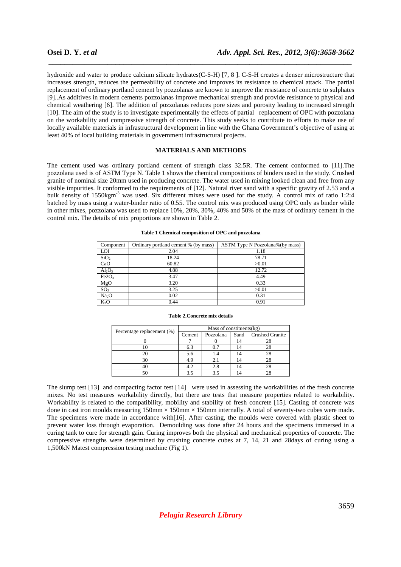hydroxide and water to produce calcium silicate hydrates(C-S-H) [7, 8 ]. C-S-H creates a denser microstructure that increases strength, reduces the permeability of concrete and improves its resistance to chemical attack. The partial replacement of ordinary portland cement by pozzolanas are known to improve the resistance of concrete to sulphates [9]..As additives in modern cements pozzolanas improve mechanical strength and provide resistance to physical and chemical weathering [6]. The addition of pozzolanas reduces pore sizes and porosity leading to increased strength [10]. The aim of the study is to investigate experimentally the effects of partial replacement of OPC with pozzolana on the workability and compressive strength of concrete. This study seeks to contribute to efforts to make use of locally available materials in infrastructural development in line with the Ghana Government's objective of using at least 40% of local building materials in government infrastructural projects.

 *\_\_\_\_\_\_\_\_\_\_\_\_\_\_\_\_\_\_\_\_\_\_\_\_\_\_\_\_\_\_\_\_\_\_\_\_\_\_\_\_\_\_\_\_\_\_\_\_\_\_\_\_\_\_\_\_\_\_\_\_\_\_\_\_\_\_\_\_\_\_\_\_\_\_\_\_\_*

### **MATERIALS AND METHODS**

The cement used was ordinary portland cement of strength class 32.5R. The cement conformed to [11].The pozzolana used is of ASTM Type N. Table 1 shows the chemical compositions of binders used in the study. Crushed granite of nominal size 20mm used in producing concrete. The water used in mixing looked clean and free from any visible impurities. It conformed to the requirements of [12]. Natural river sand with a specific gravity of 2.53 and a bulk density of 1550kgm<sup>-3</sup> was used. Six different mixes were used for the study. A control mix of ratio 1:2:4 batched by mass using a water-binder ratio of 0.55. The control mix was produced using OPC only as binder while in other mixes, pozzolana was used to replace 10%, 20%, 30%, 40% and 50% of the mass of ordinary cement in the control mix. The details of mix proportions are shown in Table 2.

| Component         | Ordinary portland cement % (by mass) | ASTM Type N Pozzolana%(by mass) |
|-------------------|--------------------------------------|---------------------------------|
| <b>LOI</b>        | 2.04                                 | 1.18                            |
| SiO <sub>2</sub>  | 18.24                                | 78.71                           |
| CaO               | 60.82                                | >0.01                           |
| $Al_2O_3$         | 4.88                                 | 12.72                           |
| Fe2O <sub>3</sub> | 3.47                                 | 4.49                            |
| MgO               | 3.20                                 | 0.33                            |
| SO <sub>3</sub>   | 3.25                                 | >0.01                           |
| Na <sub>2</sub> O | 0.02                                 | 0.31                            |
| $K_2O$            | 0.44                                 | 0.91                            |

#### **Table 1 Chemical composition of OPC and pozzolana**

| Percentage replacement (%) | Mass of constituents(kg) |           |      |                        |  |
|----------------------------|--------------------------|-----------|------|------------------------|--|
|                            | Cement                   | Pozzolana | Sand | <b>Crushed Granite</b> |  |
|                            |                          |           |      |                        |  |
|                            | 6.3                      |           |      |                        |  |
|                            | 5.6                      |           | 14   |                        |  |
| 30                         | 4.9                      |           |      |                        |  |
|                            | 4.2                      | 2.8       |      |                        |  |
|                            |                          |           |      |                        |  |

**Table 2.Concrete mix details** 

### The slump test [13] and compacting factor test [14] were used in assessing the workabilities of the fresh concrete mixes. No test measures workability directly, but there are tests that measure properties related to workability. Workability is related to the compatibility, mobility and stability of fresh concrete [15]. Casting of concrete was done in cast iron moulds measuring  $150 \text{mm} \times 150 \text{mm} \times 150 \text{mm}$  internally. A total of seventy-two cubes were made. The specimens were made in accordance with[16]. After casting, the moulds were covered with plastic sheet to prevent water loss through evaporation. Demoulding was done after 24 hours and the specimens immersed in a curing tank to cure for strength gain. Curing improves both the physical and mechanical properties of concrete. The compressive strengths were determined by crushing concrete cubes at 7, 14, 21 and 28days of curing using a 1,500kN Matest compression testing machine (Fig 1).

# *Pelagia Research Library*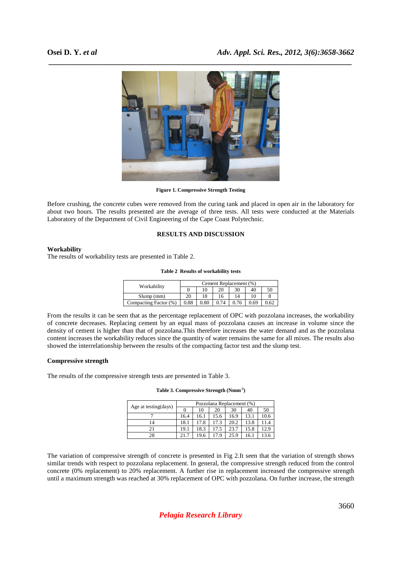

**Figure 1. Compressive Strength Testing** 

Before crushing, the concrete cubes were removed from the curing tank and placed in open air in the laboratory for about two hours. The results presented are the average of three tests. All tests were conducted at the Materials Laboratory of the Department of Civil Engineering of the Cape Coast Polytechnic.

### **RESULTS AND DISCUSSION**

### **Workability**

The results of workability tests are presented in Table 2.

|  | Table 2 Results of workability tests |  |
|--|--------------------------------------|--|
|  |                                      |  |

| Workability           | Cement Replacement (%) |      |    |    |      |      |  |
|-----------------------|------------------------|------|----|----|------|------|--|
|                       |                        | 10   | 20 | 30 | 40   | 50   |  |
| Slump(mm)             | 20                     | 18   | 16 |    |      |      |  |
| Compacting Factor (%) | 0.88                   | 0.80 |    |    | 0.69 | 0.62 |  |

From the results it can be seen that as the percentage replacement of OPC with pozzolana increases, the workability of concrete decreases. Replacing cement by an equal mass of pozzolana causes an increase in volume since the density of cement is higher than that of pozzolana.This therefore increases the water demand and as the pozzolana content increases the workability reduces since the quantity of water remains the same for all mixes. The results also showed the interrelationship between the results of the compacting factor test and the slump test.

### **Compressive strength**

The results of the compressive strength tests are presented in Table 3.

|  | Table 3. Compressive Strength (Nmm <sup>-2</sup> ) |  |  |
|--|----------------------------------------------------|--|--|
|--|----------------------------------------------------|--|--|

| Age at testing (days) | Pozzolana Replacement (%) |      |      |      |      |      |  |
|-----------------------|---------------------------|------|------|------|------|------|--|
|                       |                           | 10   | 20   | 30   | 40   | 50   |  |
|                       | 16.4                      | 16.1 | 15.6 | 16.9 | 13.1 | 10.6 |  |
| 14                    | 18.1                      | 17.8 | 17.3 | 20.2 | 13.8 | 11.4 |  |
| 21                    | 19.1                      | 18.3 | 17.5 | 23.7 | 15.8 | 12.9 |  |
| 28                    | 21.7                      | 19.6 | 17.9 | 25.9 | 16.1 | 3.6  |  |

The variation of compressive strength of concrete is presented in Fig 2.It seen that the variation of strength shows similar trends with respect to pozzolana replacement. In general, the compressive strength reduced from the control concrete (0% replacement) to 20% replacement. A further rise in replacement increased the compressive strength until a maximum strength was reached at 30% replacement of OPC with pozzolana. On further increase, the strength

*Pelagia Research Library*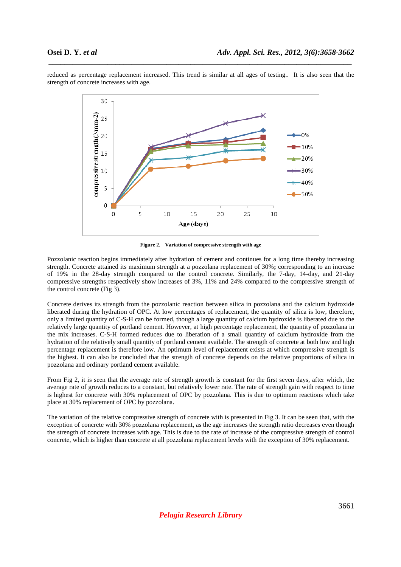

reduced as percentage replacement increased. This trend is similar at all ages of testing.. It is also seen that the strength of concrete increases with age.

 *\_\_\_\_\_\_\_\_\_\_\_\_\_\_\_\_\_\_\_\_\_\_\_\_\_\_\_\_\_\_\_\_\_\_\_\_\_\_\_\_\_\_\_\_\_\_\_\_\_\_\_\_\_\_\_\_\_\_\_\_\_\_\_\_\_\_\_\_\_\_\_\_\_\_\_\_\_*

**Figure 2. Variation of compressive strength with age** 

Pozzolanic reaction begins immediately after hydration of cement and continues for a long time thereby increasing strength. Concrete attained its maximum strength at a pozzolana replacement of 30%**;** corresponding to an increase of 19% in the 28-day strength compared to the control concrete. Similarly, the 7-day, 14-day, and 21-day compressive strengths respectively show increases of 3%, 11% and 24% compared to the compressive strength of the control concrete (Fig 3).

Concrete derives its strength from the pozzolanic reaction between silica in pozzolana and the calcium hydroxide liberated during the hydration of OPC. At low percentages of replacement, the quantity of silica is low, therefore, only a limited quantity of C-S-H can be formed, though a large quantity of calcium hydroxide is liberated due to the relatively large quantity of portland cement. However, at high percentage replacement, the quantity of pozzolana in the mix increases. C-S-H formed reduces due to liberation of a small quantity of calcium hydroxide from the hydration of the relatively small quantity of portland cement available. The strength of concrete at both low and high percentage replacement is therefore low. An optimum level of replacement exists at which compressive strength is the highest. It can also be concluded that the strength of concrete depends on the relative proportions of silica in pozzolana and ordinary portland cement available.

From Fig 2, it is seen that the average rate of strength growth is constant for the first seven days, after which, the average rate of growth reduces to a constant, but relatively lower rate. The rate of strength gain with respect to time is highest for concrete with 30% replacement of OPC by pozzolana. This is due to optimum reactions which take place at 30% replacement of OPC by pozzolana.

The variation of the relative compressive strength of concrete with is presented in Fig 3. It can be seen that, with the exception of concrete with 30% pozzolana replacement, as the age increases the strength ratio decreases even though the strength of concrete increases with age. This is due to the rate of increase of the compressive strength of control concrete, which is higher than concrete at all pozzolana replacement levels with the exception of 30% replacement.